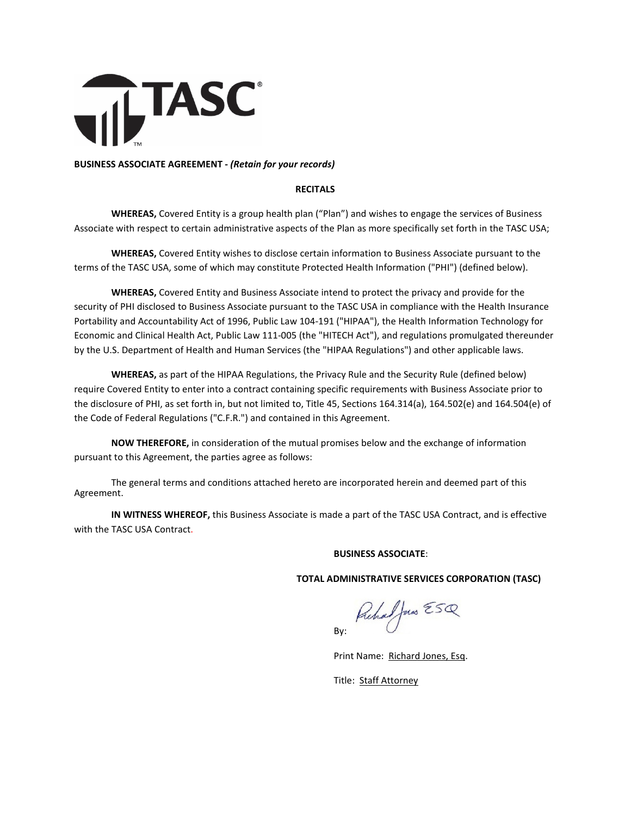

# **BUSINESS ASSOCIATE AGREEMENT -** *(Retain for your records)*

# **RECITALS**

**WHEREAS,** Covered Entity is a group health plan ("Plan") and wishes to engage the services of Business Associate with respect to certain administrative aspects of the Plan as more specifically set forth in the TASC USA;

**WHEREAS,** Covered Entity wishes to disclose certain information to Business Associate pursuant to the terms of the TASC USA, some of which may constitute Protected Health Information ("PHI") (defined below).

**WHEREAS,** Covered Entity and Business Associate intend to protect the privacy and provide for the security of PHI disclosed to Business Associate pursuant to the TASC USA in compliance with the Health Insurance Portability and Accountability Act of 1996, Public Law 104-191 ("HIPAA"), the Health Information Technology for Economic and Clinical Health Act, Public Law 111-005 (the "HITECH Act"), and regulations promulgated thereunder by the U.S. Department of Health and Human Services (the "HIPAA Regulations") and other applicable laws.

**WHEREAS,** as part of the HIPAA Regulations, the Privacy Rule and the Security Rule (defined below) require Covered Entity to enter into a contract containing specific requirements with Business Associate prior to the disclosure of PHI, as set forth in, but not limited to, Title 45, Sections 164.314(a), 164.502(e) and 164.504(e) of the Code of Federal Regulations ("C.F.R.") and contained in this Agreement.

**NOW THEREFORE,** in consideration of the mutual promises below and the exchange of information pursuant to this Agreement, the parties agree as follows:

The general terms and conditions attached hereto are incorporated herein and deemed part of this Agreement.

**IN WITNESS WHEREOF,** this Business Associate is made a part of the TASC USA Contract, and is effective with the TASC USA Contract.

## **BUSINESS ASSOCIATE**:

**TOTAL ADMINISTRATIVE SERVICES CORPORATION (TASC)** 

Rehalfna ESQ By:

 Print Name: Richard Jones, Esq. Title: Staff Attorney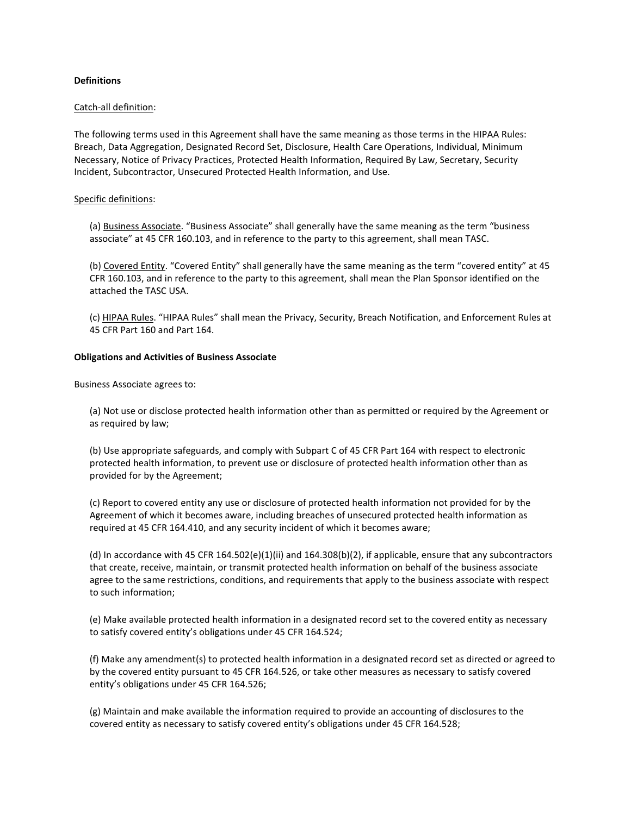## **Definitions**

# Catch-all definition:

The following terms used in this Agreement shall have the same meaning as those terms in the HIPAA Rules: Breach, Data Aggregation, Designated Record Set, Disclosure, Health Care Operations, Individual, Minimum Necessary, Notice of Privacy Practices, Protected Health Information, Required By Law, Secretary, Security Incident, Subcontractor, Unsecured Protected Health Information, and Use.

# Specific definitions:

(a) Business Associate. "Business Associate" shall generally have the same meaning as the term "business associate" at 45 CFR 160.103, and in reference to the party to this agreement, shall mean TASC.

(b) Covered Entity. "Covered Entity" shall generally have the same meaning as the term "covered entity" at 45 CFR 160.103, and in reference to the party to this agreement, shall mean the Plan Sponsor identified on the attached the TASC USA.

(c) HIPAA Rules. "HIPAA Rules" shall mean the Privacy, Security, Breach Notification, and Enforcement Rules at 45 CFR Part 160 and Part 164.

# **Obligations and Activities of Business Associate**

Business Associate agrees to:

(a) Not use or disclose protected health information other than as permitted or required by the Agreement or as required by law;

(b) Use appropriate safeguards, and comply with Subpart C of 45 CFR Part 164 with respect to electronic protected health information, to prevent use or disclosure of protected health information other than as provided for by the Agreement;

(c) Report to covered entity any use or disclosure of protected health information not provided for by the Agreement of which it becomes aware, including breaches of unsecured protected health information as required at 45 CFR 164.410, and any security incident of which it becomes aware;

(d) In accordance with 45 CFR 164.502(e)(1)(ii) and 164.308(b)(2), if applicable, ensure that any subcontractors that create, receive, maintain, or transmit protected health information on behalf of the business associate agree to the same restrictions, conditions, and requirements that apply to the business associate with respect to such information;

(e) Make available protected health information in a designated record set to the covered entity as necessary to satisfy covered entity's obligations under 45 CFR 164.524;

(f) Make any amendment(s) to protected health information in a designated record set as directed or agreed to by the covered entity pursuant to 45 CFR 164.526, or take other measures as necessary to satisfy covered entity's obligations under 45 CFR 164.526;

(g) Maintain and make available the information required to provide an accounting of disclosures to the covered entity as necessary to satisfy covered entity's obligations under 45 CFR 164.528;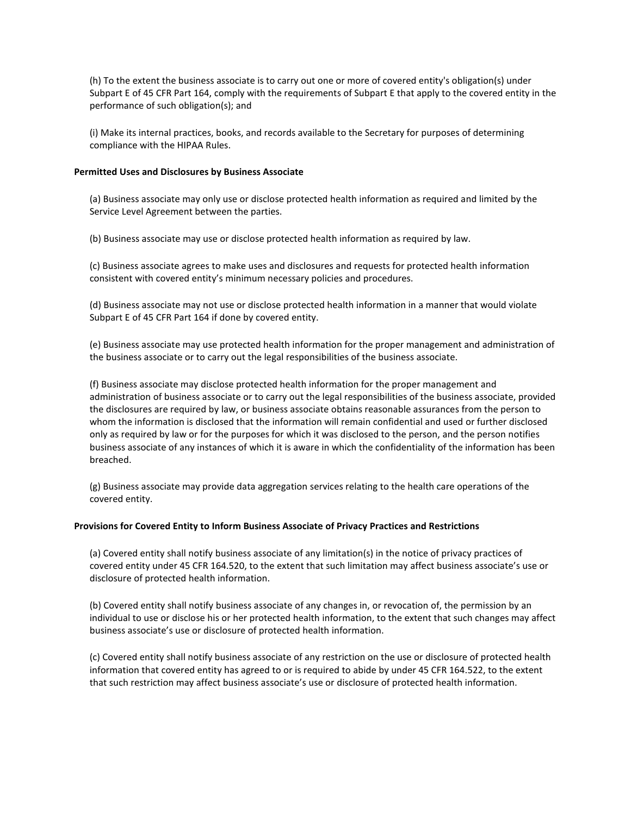(h) To the extent the business associate is to carry out one or more of covered entity's obligation(s) under Subpart E of 45 CFR Part 164, comply with the requirements of Subpart E that apply to the covered entity in the performance of such obligation(s); and

(i) Make its internal practices, books, and records available to the Secretary for purposes of determining compliance with the HIPAA Rules.

#### **Permitted Uses and Disclosures by Business Associate**

(a) Business associate may only use or disclose protected health information as required and limited by the Service Level Agreement between the parties.

(b) Business associate may use or disclose protected health information as required by law.

(c) Business associate agrees to make uses and disclosures and requests for protected health information consistent with covered entity's minimum necessary policies and procedures.

(d) Business associate may not use or disclose protected health information in a manner that would violate Subpart E of 45 CFR Part 164 if done by covered entity.

(e) Business associate may use protected health information for the proper management and administration of the business associate or to carry out the legal responsibilities of the business associate.

(f) Business associate may disclose protected health information for the proper management and administration of business associate or to carry out the legal responsibilities of the business associate, provided the disclosures are required by law, or business associate obtains reasonable assurances from the person to whom the information is disclosed that the information will remain confidential and used or further disclosed only as required by law or for the purposes for which it was disclosed to the person, and the person notifies business associate of any instances of which it is aware in which the confidentiality of the information has been breached.

(g) Business associate may provide data aggregation services relating to the health care operations of the covered entity.

#### **Provisions for Covered Entity to Inform Business Associate of Privacy Practices and Restrictions**

(a) Covered entity shall notify business associate of any limitation(s) in the notice of privacy practices of covered entity under 45 CFR 164.520, to the extent that such limitation may affect business associate's use or disclosure of protected health information.

(b) Covered entity shall notify business associate of any changes in, or revocation of, the permission by an individual to use or disclose his or her protected health information, to the extent that such changes may affect business associate's use or disclosure of protected health information.

(c) Covered entity shall notify business associate of any restriction on the use or disclosure of protected health information that covered entity has agreed to or is required to abide by under 45 CFR 164.522, to the extent that such restriction may affect business associate's use or disclosure of protected health information.